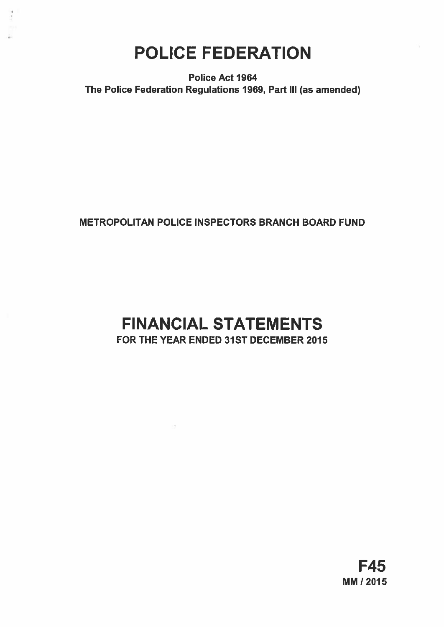# POLICE FEDERATION

Police Act 1964 The Police Federation Regulations 1969, Part Ill (as amended)

# METROPOLITAN POLICE INSPECTORS BRANCH BOARD FUND

# FINANCIAL STATEMENTS FOR THE YEAR ENDED 31ST DECEMBER 2015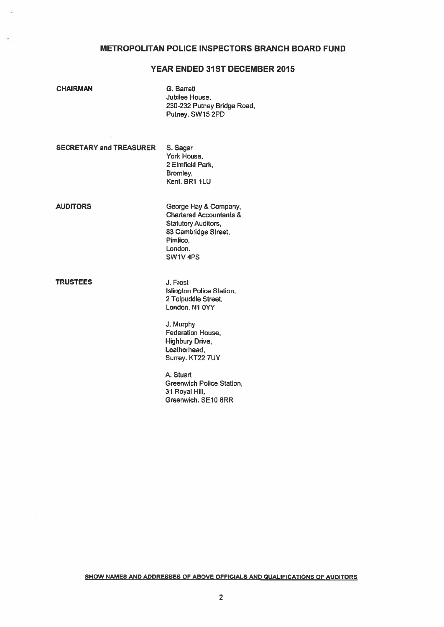# METROPOLITAN POLICE INSPECTORS BRANCH BOARD FUND

# YEAR ENDED 31ST DECEMBER 2015

G. Barratt Jubilee House. 230-232 Putney Bridge Road, Putney, SW1S 2PD

SECRETARY and TREASURER S. Sagar

York House, 2 Elmfleld Park, Bromley, Kent. BR1 1LU

AUDITORS George Hay & Company, Chartered Accountants & Statutory Auditors, 83 Cambridge Street, Pimlico, London. SW1V 4PS

TRUSTEES J. Frost

Islington Police Station, 2 Tolpuddle Street, London. N1 0YY

J. Murphy Federation House, **Highbury Drive,** Leatherhead, Surrey. KT22 7UY

A. Stuart Greenwich Police Station, 31 Royal Hill, Greenwich. SEIO 8RR

SHOW NAMES AND ADDRESSES OF ABOVE OFFICIALS AND QUALIFICATIONS OF AUDITORS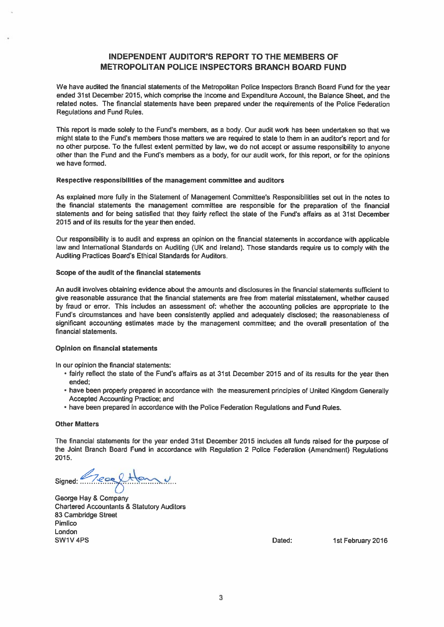# INDEPENDENT AUDITOR'S REPORT TO THE MEMBERS OF METROPOLITAN POLICE INSPECTORS BRANCH BOARD FUND

We have audited the financial statements of the Metropolitan Police Inspectors Branch Board Fund for the year ended 31st December 2015, which comprise the Income and Expenditure Account, the Balance Sheet, and the related notes. The financial statements have been prepared under the requirements of the Police Federation Regulations and Fund Rules.

This report is made solely to the Fund's members, as a body. Our audit work has been undertaken so that we might state to the Fund's members those matters we are required to state to them in an auditor's report and for no other purpose. To the fullest extent permitted by law, we do not accept or assume responsibility to anyone other than the Fund and the Fund's members as a body, for our audit work, for this report, or for the opinions we have formed.

#### Respective responsibilities of the management committee and auditors

As explained more fully in the Statement of Management Committee's Responsibilities set out in the notes to the financial statements the management committee are responsible for the preparation of the financial statements and for being satisfied that they fairly reflect the state of the Fund's affairs as at 31st December 2015 and of its results for the year then ended.

Our responsibility is to audit and express an opinion on the financial statements in accordance with applicable law and International Standards on Auditing (UK and Ireland). Those standards require us to comply with the Auditing Practices Board's Ethical Standards for Auditors.

## Scope of the audit of the financial statements

An audit involves obtaining evidence about the amounts and disclosures in the financial statements sufficient to give reasonable assurance that the financial statements are free from material misstatement, whether caused by fraud or error. This includes an assessment of: whether the accounting policies are appropriate to the Fund's circumstances and have been consistently applied and adequately disclosed; the reasonableness of significant accounting estimates made by the management committee; and the overall presentation of the financial statements,

#### Opinion on financial statements

In our opinion the financial statements:

- fairly reflect the state of the Fund's affairs as at 31st December 2015 and of its results for the year then ended;
- have been properly prepared in accordance with the measurement principles of United Kingdom Generally Accepted Accounting Practice; and
- have been prepared in accordance with the Police Federation Regulations and Fund Rules.

#### Other Matters

The financial statements for the year ended 31st December 2015 includes all funds raised for the purpose of the Joint Branch Board Fund in accordance with Regulation 2 Police Federation (Amendment) Regulations 2015.

Signed: Reachtlan

George Hay & Company Chartered Accountants & Statutory Auditors 83 Cambridge Street Pimlico London SW1V 4PS **Dated:** 1st February 2016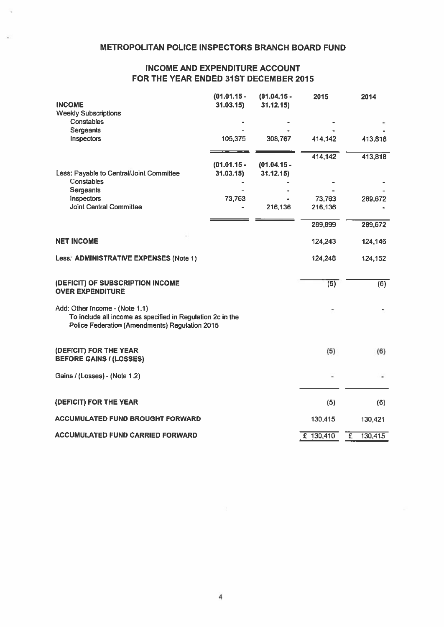# INCOME AND EXPENDITURE ACCOUNT FOR THE YEAR ENDED 31ST DECEMBER 2015

| <b>INCOME</b>                                                                                                                                  | $(01.01.15 -$<br>31.03.15 | $(01.04.15 -$<br>31.12.15 | 2015      | 2014                      |
|------------------------------------------------------------------------------------------------------------------------------------------------|---------------------------|---------------------------|-----------|---------------------------|
| <b>Weekly Subscriptions</b><br>Constables                                                                                                      |                           |                           |           |                           |
| <b>Sergeants</b>                                                                                                                               |                           |                           |           |                           |
| Inspectors                                                                                                                                     | 105,375                   | 308,767                   | 414,142   | 413,818                   |
|                                                                                                                                                |                           |                           | 414,142   | 413,818                   |
|                                                                                                                                                | $(01.01.15 -$             | $(01.04.15 -$             |           |                           |
| Less: Payable to Central/Joint Committee<br>Constables                                                                                         | 31.03.15)                 | 31.12.15                  |           |                           |
| Sergeants                                                                                                                                      |                           |                           |           |                           |
| Inspectors                                                                                                                                     | 73,763                    |                           | 73,763    | 289,672                   |
| Joint Central Committee                                                                                                                        |                           | 216,136                   | 216,136   |                           |
|                                                                                                                                                |                           |                           | 289,899   | 289,672                   |
|                                                                                                                                                |                           |                           |           |                           |
| <b>NET INCOME</b>                                                                                                                              |                           |                           | 124,243   | 124,146                   |
| Less. ADMINISTRATIVE EXPENSES (Note 1)                                                                                                         |                           |                           | 124,248   | 124,152                   |
| (DEFICIT) OF SUBSCRIPTION INCOME<br><b>OVER EXPENDITURE</b>                                                                                    |                           |                           | (5)       | $\overline{(6)}$          |
| Add: Other Income - (Note 1.1)<br>To include all income as specified in Regulation 2c in the<br>Police Federation (Amendments) Regulation 2015 |                           |                           |           |                           |
| (DEFICIT) FOR THE YEAR<br><b>BEFORE GAINS / (LOSSES)</b>                                                                                       |                           |                           | (5)       | (6)                       |
| Gains / (Losses) - (Note 1.2)                                                                                                                  |                           |                           |           |                           |
| (DEFICIT) FOR THE YEAR                                                                                                                         |                           |                           | (5)       | (6)                       |
| <b>ACCUMULATED FUND BROUGHT FORWARD</b>                                                                                                        |                           |                           | 130,415   | 130,421                   |
| <b>ACCUMULATED FUND CARRIED FORWARD</b>                                                                                                        |                           |                           | £ 130,410 | $\overline{f}$<br>130,415 |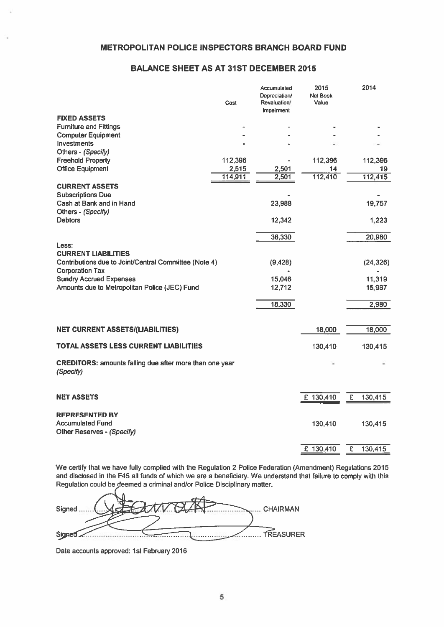# BALANCE SHEET AS AT 31ST DECEMBER 2015

|                                                                             | Cost             | Accumulated<br>Depreciation/<br>Revaluation/<br>Impairment | 2015<br>Net Book<br>Value |   | 2014          |
|-----------------------------------------------------------------------------|------------------|------------------------------------------------------------|---------------------------|---|---------------|
| <b>FIXED ASSETS</b>                                                         |                  |                                                            |                           |   |               |
| <b>Furniture and Fittings</b>                                               |                  |                                                            |                           |   |               |
| <b>Computer Equipment</b>                                                   |                  |                                                            |                           |   |               |
| Investments                                                                 |                  |                                                            |                           |   |               |
| Others - (Specify)                                                          |                  |                                                            |                           |   |               |
| <b>Freehold Property</b>                                                    | 112,396          |                                                            | 112,396                   |   | 112,396       |
| <b>Office Equipment</b>                                                     | 2,515<br>114,911 | 2,501<br>2,501                                             | 14<br>112,410             |   | 19<br>112,415 |
|                                                                             |                  |                                                            |                           |   |               |
| <b>CURRENT ASSETS</b>                                                       |                  |                                                            |                           |   |               |
| <b>Subscriptions Due</b><br>Cash at Bank and in Hand                        |                  | 23,988                                                     |                           |   | 19,757        |
| Others - (Specify)                                                          |                  |                                                            |                           |   |               |
| <b>Debtors</b>                                                              |                  | 12,342                                                     |                           |   | 1,223         |
|                                                                             |                  |                                                            |                           |   |               |
|                                                                             |                  | 36,330                                                     |                           |   | 20,980        |
| Less:                                                                       |                  |                                                            |                           |   |               |
| <b>CURRENT LIABILITIES</b>                                                  |                  |                                                            |                           |   |               |
| Contributions due to Joint/Central Committee (Note 4)                       |                  | (9,428)                                                    |                           |   | (24, 326)     |
| <b>Corporation Tax</b>                                                      |                  |                                                            |                           |   |               |
| <b>Sundry Accrued Expenses</b>                                              |                  | 15,046                                                     |                           |   | 11,319        |
| Amounts due to Metropolitan Police (JEC) Fund                               |                  | 12,712                                                     |                           |   | 15,987        |
|                                                                             |                  |                                                            |                           |   |               |
|                                                                             |                  | 18,330                                                     |                           |   | 2,980         |
|                                                                             |                  |                                                            |                           |   |               |
| <b>NET CURRENT ASSETS/(LIABILITIES)</b>                                     |                  |                                                            | 18,000                    |   | 18,000        |
|                                                                             |                  |                                                            |                           |   |               |
| TOTAL ASSETS LESS CURRENT LIABILITIES                                       |                  |                                                            | 130,410                   |   | 130,415       |
|                                                                             |                  |                                                            |                           |   |               |
| <b>CREDITORS: amounts falling due after more than one year</b><br>(Specify) |                  |                                                            |                           |   |               |
|                                                                             |                  |                                                            |                           |   |               |
|                                                                             |                  |                                                            |                           |   |               |
| <b>NET ASSETS</b>                                                           |                  |                                                            | £ 130,410                 | £ | 130,415       |
|                                                                             |                  |                                                            |                           |   |               |
| <b>REPRESENTED BY</b><br><b>Accumulated Fund</b>                            |                  |                                                            | 130,410                   |   | 130,415       |
| Other Reserves - (Specify)                                                  |                  |                                                            |                           |   |               |
|                                                                             |                  |                                                            |                           |   |               |
|                                                                             |                  |                                                            | £ 130,410                 | £ | 130,415       |
|                                                                             |                  |                                                            |                           |   |               |

We certify that we have fully complied with the Regulation 2 Police Federation (Amendment) Regulations 2015 and disclosed in the F45 all funds of which we are a beneficiary. We understand that failure to comply with this Regulation could be deemed a criminal and/or Police Disciplinary mailer.

Signed... ... CHAIRMAN .........TREASURER Signed

Date accounts approved: 1st February 2016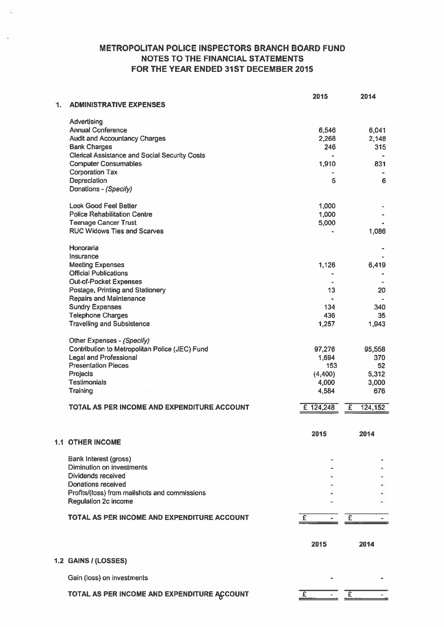# METROPOLITAN POLICE INSPECTORS BRANCH BOARD FUND NOTES TO THE FINANCIAL STATEMENTS FOR THE YEAR ENDED 31ST DECEMBER 2015

|    |                                                      | 2015                    | 2014         |
|----|------------------------------------------------------|-------------------------|--------------|
| 1. | <b>ADMINISTRATIVE EXPENSES</b>                       |                         |              |
|    | Advertising                                          |                         |              |
|    | <b>Annual Conference</b>                             | 6,546                   | 6,041        |
|    | <b>Audit and Accountancy Charges</b>                 | 2,268                   | 2,148        |
|    | <b>Bank Charges</b>                                  | 246                     | 315          |
|    | <b>Clerical Assistance and Social Security Costs</b> | $\bullet$               |              |
|    | <b>Computer Consumables</b>                          | 1,910                   | 831          |
|    | <b>Corporation Tax</b>                               |                         |              |
|    | Depreciation                                         | 5                       | 6            |
|    | Donations - (Specify)                                |                         |              |
|    | <b>Look Good Feel Better</b>                         | 1,000                   |              |
|    | <b>Police Rehabilitation Centre</b>                  | 1,000                   |              |
|    | <b>Teenage Cancer Trust</b>                          | 5,000                   |              |
|    | <b>RUC Widows Ties and Scarves</b>                   |                         | 1,086        |
|    | Honoraria                                            |                         |              |
|    | Insurance                                            |                         |              |
|    | <b>Meeting Expenses</b>                              | 1,126                   | 6,419        |
|    | <b>Official Publications</b>                         |                         |              |
|    | Out-of-Pocket Expenses                               |                         |              |
|    | Postage, Printing and Stationery                     | 13                      | 20           |
|    | <b>Repairs and Maintenance</b>                       | ×.                      |              |
|    | <b>Sundry Expenses</b>                               | 134                     | 340          |
|    | <b>Telephone Charges</b>                             | 436                     | 35           |
|    | <b>Travelling and Subsistence</b>                    | 1,257                   | 1,943        |
|    | Other Expenses - (Specify)                           |                         |              |
|    | Contribution to Metropolitan Police (JEC) Fund       | 97,276                  | 95,558       |
|    | <b>Legal and Professional</b>                        | 1,694                   | 370          |
|    | <b>Presentation Pieces</b>                           | 153                     | 52           |
|    | Projects                                             | (4,400)                 | 5,312        |
|    | <b>Testimonials</b>                                  | 4,000                   | 3,000        |
|    | Training                                             | 4,584                   | 676          |
|    | TOTAL AS PER INCOME AND EXPENDITURE ACCOUNT          | £ 124,248               | 124,152<br>£ |
|    |                                                      |                         |              |
|    |                                                      |                         |              |
|    | <b>1.1 OTHER INCOME</b>                              | 2015                    | 2014         |
|    |                                                      |                         |              |
|    | Bank Interest (gross)                                |                         |              |
|    | <b>Diminution on investments</b>                     |                         |              |
|    | Dividends received                                   |                         |              |
|    | <b>Donations received</b>                            |                         |              |
|    | Profits/(loss) from mailshots and commissions        |                         |              |
|    | Regulation 2c income                                 |                         |              |
|    | TOTAL AS PER INCOME AND EXPENDITURE ACCOUNT          | £                       | £            |
|    |                                                      | 2015                    | 2014         |
|    | 1.2 GAINS / (LOSSES)                                 |                         |              |
|    | Gain (loss) on investments                           |                         |              |
|    |                                                      |                         |              |
|    | TOTAL AS PER INCOME AND EXPENDITURE ACCOUNT          | $\overline{\mathbf{E}}$ | £            |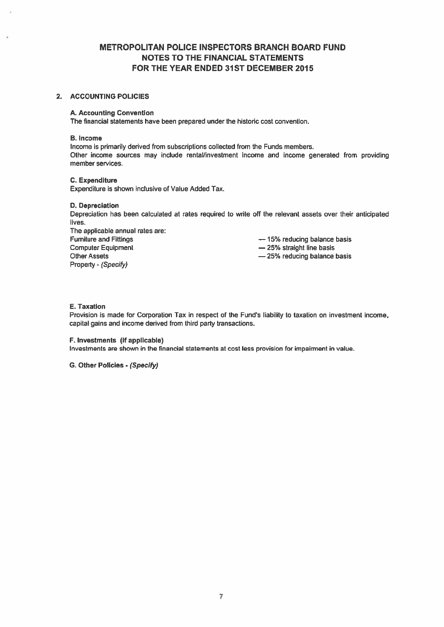# METROPOLITAN POLICE INSPECTORS BRANCH BOARD FUND NOTES TO THE FINANCIAL STATEMENTS FOR THE YEAR ENDED 31ST DECEMBER 2015

## 2. ACCOUNTING POLICIES

## A. Accounting Convention

The financial statements have been prepared under the historic cost convention.

#### B. Income

Income is primarily derived from subscriptions collected from the Funds members. Other income sources may include rental/investment income and income generated from providing member services.

## C. Expenditure

Expenditure is shown inclusive of Value Added Tax.

#### D. Depreciation

Depreciation has been calculated at rates required to write off the relevant assets over their anticipated lives.

The applicable annual rates are: Furniture and Fittings **Exercise 2018** — 15% reducing balance basis Computer Equipment **Example 25%** straight line basis Other Assets **25%** reducing balance basis Property - (Specify)

## E. Taxation

Provision is made for Corporation Tax in respect of the Fund's liability to taxation on investment income, capital gains and income derived from third party transactions.

## F. Investments (if applicable)

Investments are shown in the financial statements at cost less provision for impairment in value.

G. Other Policies - (Specify)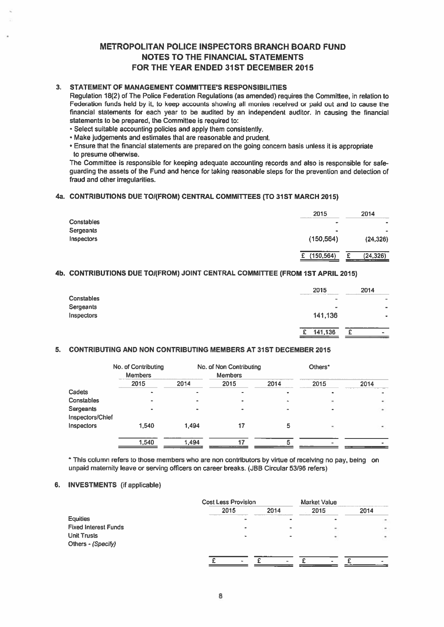# METROPOLITAN POLICE INSPECTORS BRANCH BOARD FUND NOTES TO THE FINANCIAL STATEMENTS FOR THE YEAR ENDED 31ST DECEMBER 2015

# 3. STATEMENT OF MANAGEMENT COMMITTEE'S RESPONSIBILITIES

Regulation 18(2) of The Police Federation Regulations (as amended) requires the Committee, in relation to Federation funds held by it, to keep accounts showing all monies received or paid out and to cause the financial statements for each year to be audited by an independent auditor. In causing the financial statements to be prepared, the Committee is required to:

- Select suitable accounting policies and apply them consistently.
- Make judgements and estimates that are reasonable and prudent.
- Ensure that the financial statements are prepared on the going concern basis unless it is appropriate to presume otherwise.

The Committee is responsible for keeping adequate accounting records and also is responsible for safe guarding the assets of the Fund and hence for taking reasonable steps for the prevention and detection of fraud and other irregularities.

## 4a. CONTRIBUTIONS DUE TOI(FROM) CENTRAL COMMITTEES (TO 31ST MARCH 2015)

|                   | 2015       | 2014      |
|-------------------|------------|-----------|
| <b>Constables</b> | ۰          | $\bullet$ |
| Sergeants         | $\bullet$  |           |
| Inspectors        | (150, 564) | (24, 326) |
|                   |            |           |
|                   | (150, 564) | (24, 326) |

# 4b. CONTRIBUTIONS DUE TO/(FROM) JOINT CENTRAL COMMITTEE (FROM 1ST APRIL 2015)

|                   | 2015         | 2014                         |
|-------------------|--------------|------------------------------|
| <b>Constables</b> | _____<br>۰   | $\equiv$                     |
| Sergeants         | ÷            | $\qquad \qquad \blacksquare$ |
| Inspectors        | 141,136      | ۰                            |
|                   |              |                              |
|                   | 141,136<br>£ | ີ<br>$\sim$                  |

## 5. CONTRIBUTING AND NON CONTRIBUTING MEMBERS AT 31ST DECEMBER 2015

|                  | No. of Contributing<br><b>Members</b> |       | No. of Non Contributing<br><b>Members</b> |      | Others*                      |      |
|------------------|---------------------------------------|-------|-------------------------------------------|------|------------------------------|------|
|                  | 2015                                  | 2014  | 2015                                      | 2014 | 2015                         | 2014 |
| Cadets           |                                       |       | ۰                                         |      |                              |      |
| Constables       |                                       |       |                                           |      | $\qquad \qquad \blacksquare$ | ۰    |
| Sergeants        |                                       |       |                                           |      |                              | ۰    |
| Inspectors/Chief |                                       |       |                                           |      |                              |      |
| Inspectors       | 1.540                                 | 1,494 | 17                                        | 5    | $\blacksquare$               |      |
|                  | 1.540                                 | 1,494 | 17                                        |      |                              |      |
|                  |                                       |       |                                           |      |                              |      |

\* This column refers to those members who are non contributors by virtue of receiving no pay, being on unpaid matemity leave or serving officers on career breaks. (JBB Circular 53/96 refers)

## 6. INVESTMENTS (if applicable)

|                             | <b>Cost Less Provision</b> |      | Market Value |        |
|-----------------------------|----------------------------|------|--------------|--------|
|                             | 2015                       | 2014 | 2015         | 2014   |
| <b>Equities</b>             |                            |      |              |        |
| <b>Fixed Interest Funds</b> |                            |      |              |        |
| <b>Unit Trusts</b>          |                            |      | ٠            | $\sim$ |
| Others - (Specify)          |                            |      |              |        |
|                             |                            |      |              |        |
|                             | ٠                          |      | $\bullet$    |        |